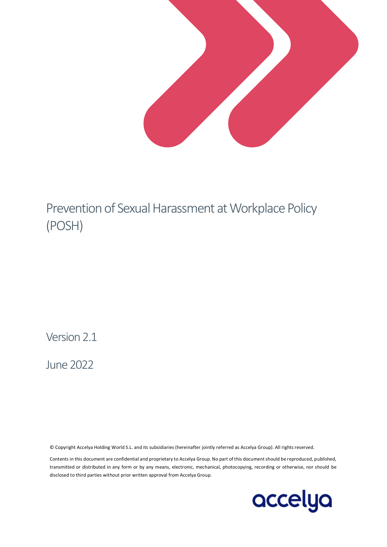

# Prevention of Sexual Harassment at Workplace Policy (POSH)

Version 2.1

June 2022

© Copyright Accelya Holding World S.L. and its subsidiaries (hereinafter jointly referred as Accelya Group). All rights reserved.

Contents in this document are confidential and proprietary to Accelya Group. No part of this document should be reproduced, published, transmitted or distributed in any form or by any means, electronic, mechanical, photocopying, recording or otherwise, nor should be disclosed to third parties without prior written approval from Accelya Group.

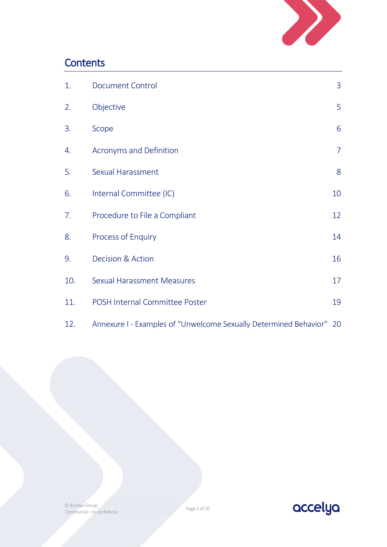

## **Contents**

| 1.  | <b>Document Control</b>                                              | $\overline{3}$ |
|-----|----------------------------------------------------------------------|----------------|
| 2.  | Objective                                                            | 5              |
| 3.  | Scope                                                                | 6              |
| 4.  | Acronyms and Definition                                              | $\overline{7}$ |
| 5.  | Sexual Harassment                                                    | 8              |
| 6.  | Internal Committee (IC)                                              | 10             |
| 7.  | Procedure to File a Compliant                                        | 12             |
| 8.  | Process of Enquiry                                                   | 14             |
| 9.  | Decision & Action                                                    | 16             |
| 10. | <b>Sexual Harassment Measures</b>                                    | 17             |
| 11. | POSH Internal Committee Poster                                       | 19             |
| 12. | Annexure I - Examples of "Unwelcome Sexually Determined Behavior" 20 |                |

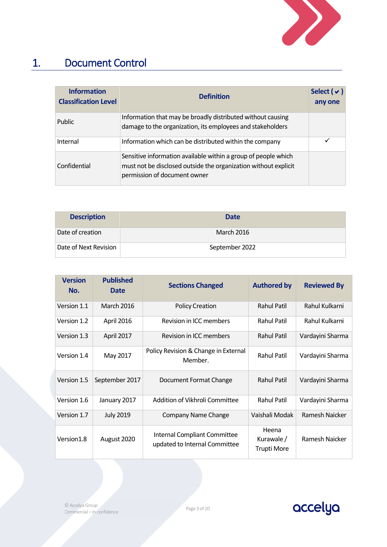

## 1. Document Control

<span id="page-2-0"></span>

| <b>Information</b><br><b>Classification Level</b> | <b>Definition</b>                                                                                                                                                 |   |
|---------------------------------------------------|-------------------------------------------------------------------------------------------------------------------------------------------------------------------|---|
| Public                                            | Information that may be broadly distributed without causing<br>damage to the organization, its employees and stakeholders                                         |   |
| Internal                                          | Information which can be distributed within the company                                                                                                           | ✓ |
| Confidential                                      | Sensitive information available within a group of people which<br>must not be disclosed outside the organization without explicit<br>permission of document owner |   |

| <b>Description</b>    | <b>Date</b>       |
|-----------------------|-------------------|
| Date of creation      | <b>March 2016</b> |
| Date of Next Revision | September 2022    |

| <b>Version</b><br>No. | <b>Published</b><br><b>Date</b> | <b>Sections Changed</b>                                       | <b>Authored by</b>                       | <b>Reviewed By</b> |
|-----------------------|---------------------------------|---------------------------------------------------------------|------------------------------------------|--------------------|
| Version 1.1           | <b>March 2016</b>               | <b>Policy Creation</b>                                        | <b>Rahul Patil</b>                       | Rahul Kulkarni     |
| Version 1.2           | April 2016                      | Revision in ICC members                                       | <b>Rahul Patil</b>                       | Rahul Kulkarni     |
| Version 1.3           | April 2017                      | Revision in ICC members                                       | <b>Rahul Patil</b>                       | Vardayini Sharma   |
| Version 1.4           | May 2017                        | Policy Revision & Change in External<br>Member.               | <b>Rahul Patil</b>                       | Vardayini Sharma   |
| Version 1.5           | September 2017                  | Document Format Change                                        | <b>Rahul Patil</b>                       | Vardayini Sharma   |
| Version 1.6           | January 2017                    | Addition of Vikhroli Committee                                | <b>Rahul Patil</b>                       | Vardayini Sharma   |
| Version 1.7           | <b>July 2019</b>                | Company Name Change                                           | Vaishali Modak                           | Ramesh Naicker     |
| Version1.8            | August 2020                     | Internal Compliant Committee<br>updated to Internal Committee | Heena<br>Kurawale/<br><b>Trupti More</b> | Ramesh Naicker     |



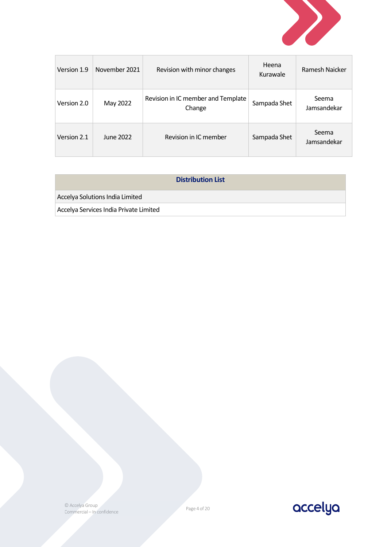

| Version 1.9 | November 2021 | Revision with minor changes                  | Heena<br>Kurawale | Ramesh Najcker       |
|-------------|---------------|----------------------------------------------|-------------------|----------------------|
| Version 2.0 | May 2022      | Revision in IC member and Template<br>Change | Sampada Shet      | Seema<br>Jamsandekar |
| Version 2.1 | June 2022     | Revision in IC member                        | Sampada Shet      | Seema<br>Jamsandekar |

| <b>Distribution List</b>               |  |
|----------------------------------------|--|
| Accelya Solutions India Limited        |  |
| Accelya Services India Private Limited |  |



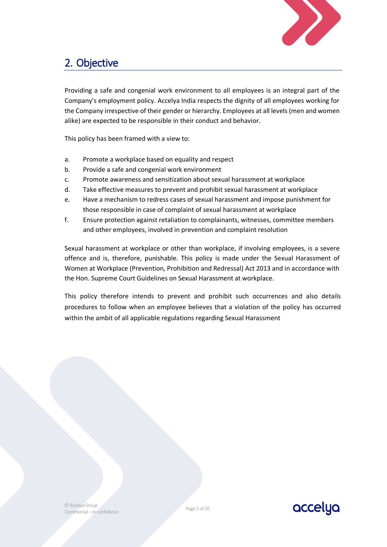

## <span id="page-4-0"></span>2. Objective

Providing a safe and congenial work environment to all employees is an integral part of the Company's employment policy. Accelya India respects the dignity of all employees working for the Company irrespective of their gender or hierarchy. Employees at all levels (men and women alike) are expected to be responsible in their conduct and behavior.

This policy has been framed with a view to:

- a. Promote a workplace based on equality and respect
- b. Provide a safe and congenial work environment
- c. Promote awareness and sensitization about sexual harassment at workplace
- d. Take effective measures to prevent and prohibit sexual harassment at workplace
- e. Have a mechanism to redress cases of sexual harassment and impose punishment for those responsible in case of complaint of sexual harassment at workplace
- f. Ensure protection against retaliation to complainants, witnesses, committee members and other employees, involved in prevention and complaint resolution

Sexual harassment at workplace or other than workplace, if involving employees, is a severe offence and is, therefore, punishable. This policy is made under the Sexual Harassment of Women at Workplace (Prevention, Prohibition and Redressal) Act 2013 and in accordance with the Hon. Supreme Court Guidelines on Sexual Harassment at workplace.

This policy therefore intends to prevent and prohibit such occurrences and also details procedures to follow when an employee believes that a violation of the policy has occurred within the ambit of all applicable regulations regarding Sexual Harassment

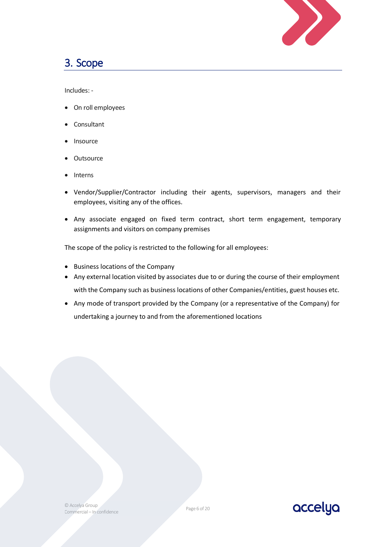

### <span id="page-5-0"></span>3. Scope

Includes: -

- On roll employees
- **Consultant**
- **Insource**
- **Outsource**
- **Interns**
- Vendor/Supplier/Contractor including their agents, supervisors, managers and their employees, visiting any of the offices.
- Any associate engaged on fixed term contract, short term engagement, temporary assignments and visitors on company premises

The scope of the policy is restricted to the following for all employees:

- Business locations of the Company
- Any external location visited by associates due to or during the course of their employment with the Company such as business locations of other Companies/entities, guest houses etc.
- Any mode of transport provided by the Company (or a representative of the Company) for undertaking a journey to and from the aforementioned locations

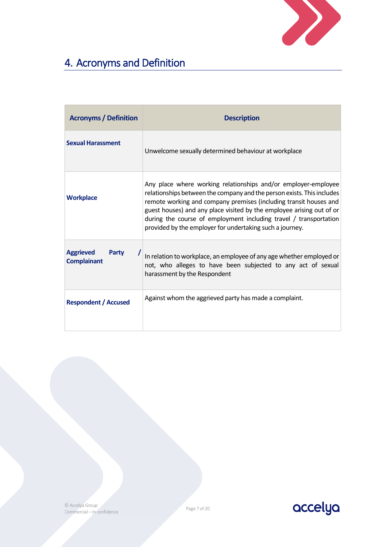

## <span id="page-6-0"></span>4. Acronyms and Definition

| <b>Acronyms / Definition</b>                    | <b>Description</b>                                                                                                                                                                                                                                                                                                                                                                                                      |  |  |
|-------------------------------------------------|-------------------------------------------------------------------------------------------------------------------------------------------------------------------------------------------------------------------------------------------------------------------------------------------------------------------------------------------------------------------------------------------------------------------------|--|--|
| <b>Sexual Harassment</b>                        | Unwelcome sexually determined behaviour at workplace                                                                                                                                                                                                                                                                                                                                                                    |  |  |
| <b>Workplace</b>                                | Any place where working relationships and/or employer-employee<br>relationships between the company and the person exists. This includes<br>remote working and company premises (including transit houses and<br>guest houses) and any place visited by the employee arising out of or<br>during the course of employment including travel / transportation<br>provided by the employer for undertaking such a journey. |  |  |
| <b>Aggrieved</b><br>Party<br><b>Complainant</b> | In relation to workplace, an employee of any age whether employed or<br>not, who alleges to have been subjected to any act of sexual<br>harassment by the Respondent                                                                                                                                                                                                                                                    |  |  |
| <b>Respondent / Accused</b>                     | Against whom the aggrieved party has made a complaint.                                                                                                                                                                                                                                                                                                                                                                  |  |  |



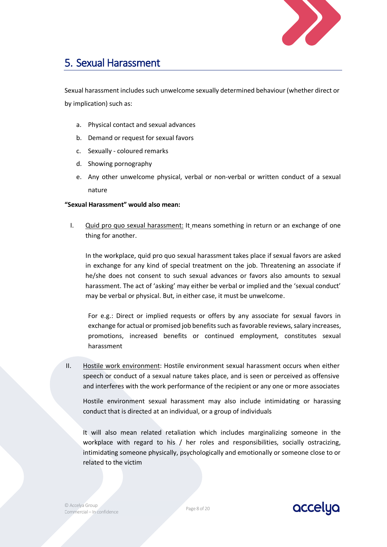

### <span id="page-7-0"></span>5. Sexual Harassment

Sexual harassment includes such unwelcome sexually determined behaviour (whether direct or by implication) such as:

- a. Physical contact and sexual advances
- b. Demand or request for sexual favors
- c. Sexually coloured remarks
- d. Showing pornography
- e. Any other unwelcome physical, verbal or non-verbal or written conduct of a sexual nature

#### **"Sexual Harassment" would also mean:**

I. Quid pro quo sexual harassment: It means something in return or an exchange of one thing for another.

In the workplace, quid pro quo sexual harassment takes place if sexual favors are asked in exchange for any kind of special treatment on the job. Threatening an associate if he/she does not consent to such sexual advances or favors also amounts to sexual harassment. The act of 'asking' may either be verbal or implied and the 'sexual conduct' may be verbal or physical. But, in either case, it must be unwelcome.

For e.g.: Direct or implied requests or offers by any associate for sexual favors in exchange for actual or promised job benefits such as favorable reviews, salary increases, promotions, increased benefits or continued employment, constitutes sexual harassment

II. Hostile work environment: Hostile environment sexual harassment occurs when either speech or conduct of a sexual nature takes place, and is seen or perceived as offensive and interferes with the work performance of the recipient or any one or more associates

Hostile environment sexual harassment may also include intimidating or harassing conduct that is directed at an individual, or a group of individuals

It will also mean related retaliation which includes marginalizing someone in the workplace with regard to his / her roles and responsibilities, socially ostracizing, intimidating someone physically, psychologically and emotionally or someone close to or related to the victim

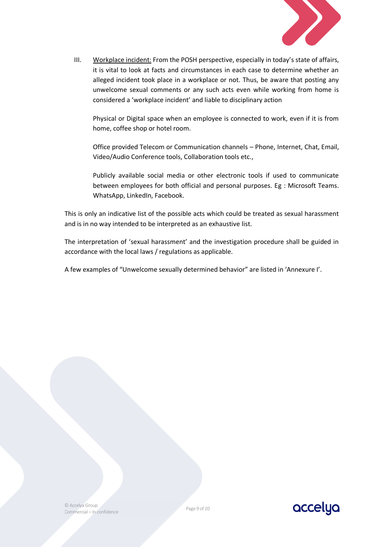

III. Workplace incident: From the POSH perspective, especially in today's state of affairs, it is vital to look at facts and circumstances in each case to determine whether an alleged incident took place in a workplace or not. Thus, be aware that posting any unwelcome sexual comments or any such acts even while working from home is considered a 'workplace incident' and liable to disciplinary action

Physical or Digital space when an employee is connected to work, even if it is from home, coffee shop or hotel room.

Office provided Telecom or Communication channels – Phone, Internet, Chat, Email, Video/Audio Conference tools, Collaboration tools etc.,

Publicly available social media or other electronic tools if used to communicate between employees for both official and personal purposes. Eg : Microsoft Teams. WhatsApp, LinkedIn, Facebook.

This is only an indicative list of the possible acts which could be treated as sexual harassment and is in no way intended to be interpreted as an exhaustive list.

The interpretation of 'sexual harassment' and the investigation procedure shall be guided in accordance with the local laws / regulations as applicable.

A few examples of "Unwelcome sexually determined behavior" are listed in 'Annexure I'.

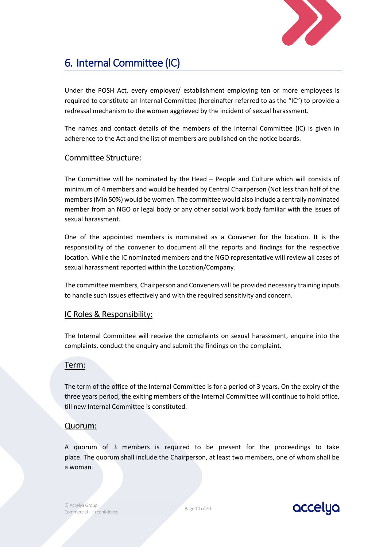

## <span id="page-9-0"></span>6. Internal Committee (IC)

Under the POSH Act, every employer/ establishment employing ten or more employees is required to constitute an Internal Committee (hereinafter referred to as the "IC") to provide a redressal mechanism to the women aggrieved by the incident of sexual harassment.

The names and contact details of the members of the Internal Committee (IC) is given in adherence to the Act and the list of members are published on the notice boards.

### Committee Structure:

The Committee will be nominated by the Head – People and Culture which will consists of minimum of 4 members and would be headed by Central Chairperson (Not less than half of the members (Min 50%) would be women. The committee would also include a centrally nominated member from an NGO or legal body or any other social work body familiar with the issues of sexual harassment.

One of the appointed members is nominated as a Convener for the location. It is the responsibility of the convener to document all the reports and findings for the respective location. While the IC nominated members and the NGO representative will review all cases of sexual harassment reported within the Location/Company.

The committee members, Chairperson and Conveners will be provided necessary training inputs to handle such issues effectively and with the required sensitivity and concern.

### IC Roles & Responsibility:

The Internal Committee will receive the complaints on sexual harassment, enquire into the complaints, conduct the enquiry and submit the findings on the complaint.

#### Term:

The term of the office of the Internal Committee is for a period of 3 years. On the expiry of the three years period, the exiting members of the Internal Committee will continue to hold office, till new Internal Committee is constituted.

### Quorum:

A quorum of 3 members is required to be present for the proceedings to take place. The quorum shall include the Chairperson, at least two members, one of whom shall be a woman.

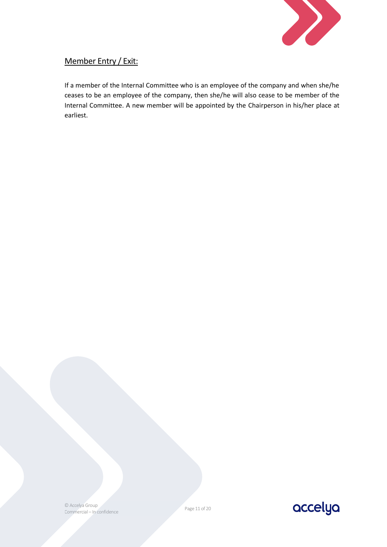

### Member Entry / Exit:

If a member of the Internal Committee who is an employee of the company and when she/he ceases to be an employee of the company, then she/he will also cease to be member of the Internal Committee. A new member will be appointed by the Chairperson in his/her place at earliest.

© Accelya Group Commercial – In confidence

Page 11 of 20

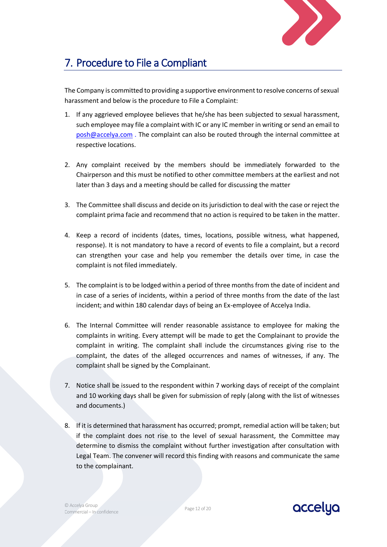

## <span id="page-11-0"></span>7. Procedure to File a Compliant

The Company is committed to providing a supportive environment to resolve concerns of sexual harassment and below is the procedure to File a Complaint:

- 1. If any aggrieved employee believes that he/she has been subjected to sexual harassment, such employee may file a complaint with IC or any IC member in writing or send an email to posh@accelya.com . The complaint can also be routed through the internal committee at respective locations.
- 2. Any complaint received by the members should be immediately forwarded to the Chairperson and this must be notified to other committee members at the earliest and not later than 3 days and a meeting should be called for discussing the matter
- 3. The Committee shall discuss and decide on its jurisdiction to deal with the case or reject the complaint prima facie and recommend that no action is required to be taken in the matter.
- 4. Keep a record of incidents (dates, times, locations, possible witness, what happened, response). It is not mandatory to have a record of events to file a complaint, but a record can strengthen your case and help you remember the details over time, in case the complaint is not filed immediately.
- 5. The complaint is to be lodged within a period of three months from the date of incident and in case of a series of incidents, within a period of three months from the date of the last incident; and within 180 calendar days of being an Ex-employee of Accelya India.
- 6. The Internal Committee will render reasonable assistance to employee for making the complaints in writing. Every attempt will be made to get the Complainant to provide the complaint in writing. The complaint shall include the circumstances giving rise to the complaint, the dates of the alleged occurrences and names of witnesses, if any. The complaint shall be signed by the Complainant.
- 7. Notice shall be issued to the respondent within 7 working days of receipt of the complaint and 10 working days shall be given for submission of reply (along with the list of witnesses and documents.)
- 8. If it is determined that harassment has occurred; prompt, remedial action will be taken; but if the complaint does not rise to the level of sexual harassment, the Committee may determine to dismiss the complaint without further investigation after consultation with Legal Team. The convener will record this finding with reasons and communicate the same to the complainant.



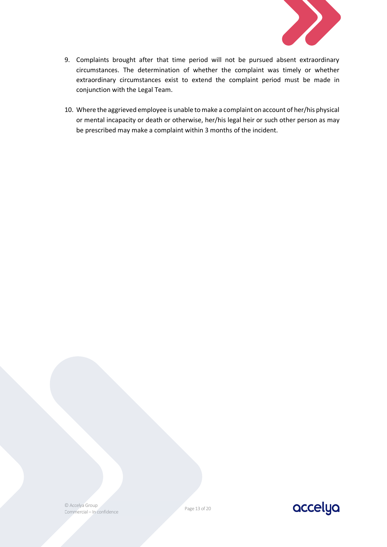

- 9. Complaints brought after that time period will not be pursued absent extraordinary circumstances. The determination of whether the complaint was timely or whether extraordinary circumstances exist to extend the complaint period must be made in conjunction with the Legal Team.
- 10. Where the aggrieved employee is unable to make a complaint on account of her/his physical or mental incapacity or death or otherwise, her/his legal heir or such other person as may be prescribed may make a complaint within 3 months of the incident.

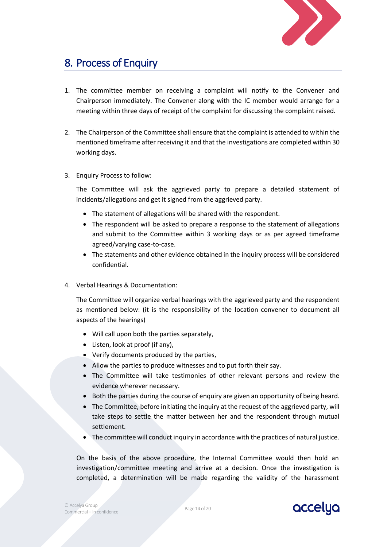

### <span id="page-13-0"></span>8. Process of Enquiry

- 1. The committee member on receiving a complaint will notify to the Convener and Chairperson immediately. The Convener along with the IC member would arrange for a meeting within three days of receipt of the complaint for discussing the complaint raised.
- 2. The Chairperson of the Committee shall ensure that the complaint is attended to within the mentioned timeframe after receiving it and that the investigations are completed within 30 working days.
- 3. Enquiry Process to follow:

The Committee will ask the aggrieved party to prepare a detailed statement of incidents/allegations and get it signed from the aggrieved party.

- The statement of allegations will be shared with the respondent.
- The respondent will be asked to prepare a response to the statement of allegations and submit to the Committee within 3 working days or as per agreed timeframe agreed/varying case-to-case.
- The statements and other evidence obtained in the inquiry process will be considered confidential.
- 4. Verbal Hearings & Documentation:

The Committee will organize verbal hearings with the aggrieved party and the respondent as mentioned below: (it is the responsibility of the location convener to document all aspects of the hearings)

- Will call upon both the parties separately,
- Listen, look at proof (if any),
- Verify documents produced by the parties,
- Allow the parties to produce witnesses and to put forth their say.
- The Committee will take testimonies of other relevant persons and review the evidence wherever necessary.
- Both the parties during the course of enquiry are given an opportunity of being heard.
- The Committee, before initiating the inquiry at the request of the aggrieved party, will take steps to settle the matter between her and the respondent through mutual settlement.
- The committee will conduct inquiry in accordance with the practices of natural justice.

On the basis of the above procedure, the Internal Committee would then hold an investigation/committee meeting and arrive at a decision. Once the investigation is completed, a determination will be made regarding the validity of the harassment

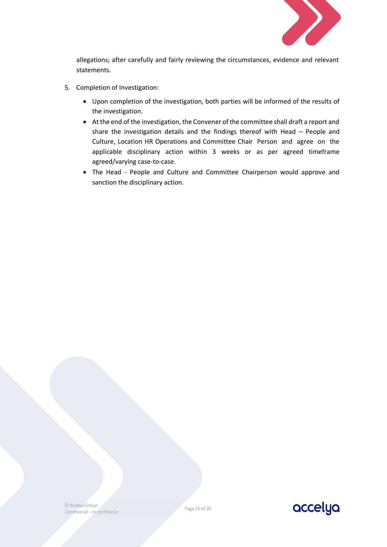

allegations; after carefully and fairly reviewing the circumstances, evidence and relevant statements.

- 5. Completion of Investigation:
	- Upon completion of the investigation, both parties will be informed of the results of the investigation.
	- At the end of the investigation, the Convener of the committee shall draft a report and share the investigation details and the findings thereof with Head – People and Culture, Location HR Operations and Committee Chair Person and agree on the applicable disciplinary action within 3 weeks or as per agreed timeframe agreed/varying case-to-case.
	- The Head People and Culture and Committee Chairperson would approve and sanction the disciplinary action.



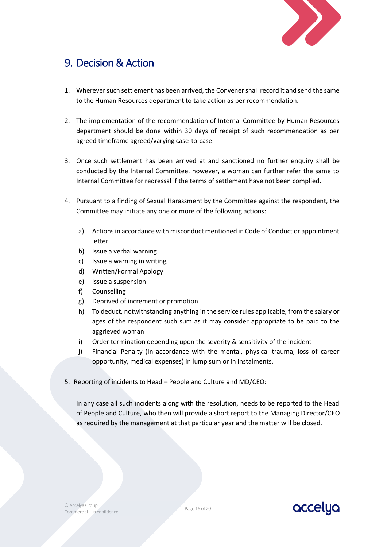

### <span id="page-15-0"></span>9. Decision & Action

- 1. Wherever such settlement has been arrived, the Convener shall record it and send the same to the Human Resources department to take action as per recommendation.
- 2. The implementation of the recommendation of Internal Committee by Human Resources department should be done within 30 days of receipt of such recommendation as per agreed timeframe agreed/varying case-to-case.
- 3. Once such settlement has been arrived at and sanctioned no further enquiry shall be conducted by the Internal Committee, however, a woman can further refer the same to Internal Committee for redressal if the terms of settlement have not been complied.
- 4. Pursuant to a finding of Sexual Harassment by the Committee against the respondent, the Committee may initiate any one or more of the following actions:
	- a) Actions in accordance with misconduct mentioned in Code of Conduct or appointment letter
	- b) Issue a verbal warning
	- c) Issue a warning in writing,
	- d) Written/Formal Apology
	- e) Issue a suspension
	- f) Counselling
	- g) Deprived of increment or promotion
	- h) To deduct, notwithstanding anything in the service rules applicable, from the salary or ages of the respondent such sum as it may consider appropriate to be paid to the aggrieved woman
	- i) Order termination depending upon the severity & sensitivity of the incident
	- j) Financial Penalty (In accordance with the mental, physical trauma, loss of career opportunity, medical expenses) in lump sum or in instalments.
- 5. Reporting of incidents to Head People and Culture and MD/CEO:

In any case all such incidents along with the resolution, needs to be reported to the Head of People and Culture, who then will provide a short report to the Managing Director/CEO as required by the management at that particular year and the matter will be closed.

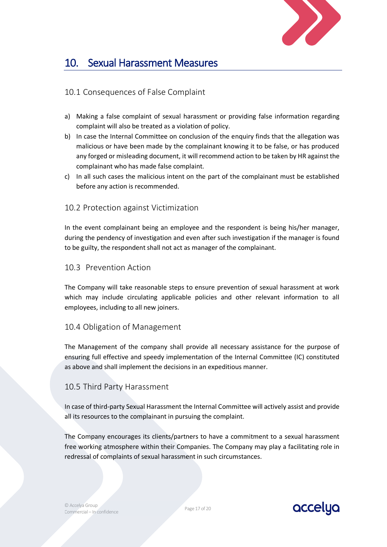

### <span id="page-16-0"></span>10. Sexual Harassment Measures

### 10.1 Consequences of False Complaint

- a) Making a false complaint of sexual harassment or providing false information regarding complaint will also be treated as a violation of policy.
- b) In case the Internal Committee on conclusion of the enquiry finds that the allegation was malicious or have been made by the complainant knowing it to be false, or has produced any forged or misleading document, it will recommend action to be taken by HR against the complainant who has made false complaint.
- c) In all such cases the malicious intent on the part of the complainant must be established before any action is recommended.

### 10.2 Protection against Victimization

In the event complainant being an employee and the respondent is being his/her manager, during the pendency of investigation and even after such investigation if the manager is found to be guilty, the respondent shall not act as manager of the complainant.

### 10.3 Prevention Action

The Company will take reasonable steps to ensure prevention of sexual harassment at work which may include circulating applicable policies and other relevant information to all employees, including to all new joiners.

### 10.4 Obligation of Management

The Management of the company shall provide all necessary assistance for the purpose of ensuring full effective and speedy implementation of the Internal Committee (IC) constituted as above and shall implement the decisions in an expeditious manner.

### 10.5 Third Party Harassment

In case of third-party Sexual Harassment the Internal Committee will actively assist and provide all its resources to the complainant in pursuing the complaint.

The Company encourages its clients/partners to have a commitment to a sexual harassment free working atmosphere within their Companies. The Company may play a facilitating role in redressal of complaints of sexual harassment in such circumstances.

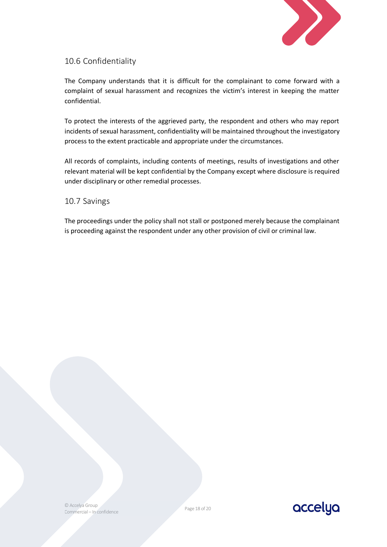

### 10.6 Confidentiality

The Company understands that it is difficult for the complainant to come forward with a complaint of sexual harassment and recognizes the victim's interest in keeping the matter confidential.

To protect the interests of the aggrieved party, the respondent and others who may report incidents of sexual harassment, confidentiality will be maintained throughout the investigatory process to the extent practicable and appropriate under the circumstances.

All records of complaints, including contents of meetings, results of investigations and other relevant material will be kept confidential by the Company except where disclosure is required under disciplinary or other remedial processes.

### 10.7 Savings

The proceedings under the policy shall not stall or postponed merely because the complainant is proceeding against the respondent under any other provision of civil or criminal law.

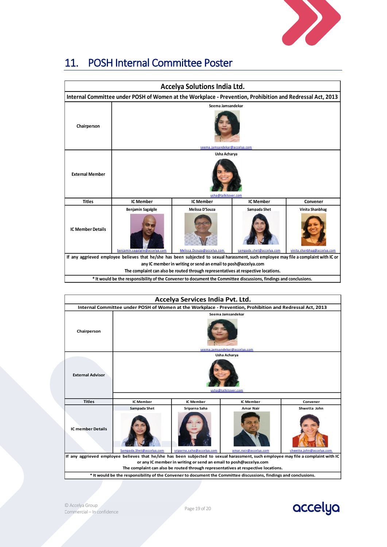

<span id="page-18-0"></span>

| 11. POSH Internal Committee Poster |
|------------------------------------|
|                                    |

| <b>Accelya Solutions India Ltd.</b>                                                                                                               |                                                                                                                   |                                                                                   |                                                |          |  |  |
|---------------------------------------------------------------------------------------------------------------------------------------------------|-------------------------------------------------------------------------------------------------------------------|-----------------------------------------------------------------------------------|------------------------------------------------|----------|--|--|
|                                                                                                                                                   | Internal Committee under POSH of Women at the Workplace - Prevention, Prohibition and Redressal Act, 2013         |                                                                                   |                                                |          |  |  |
|                                                                                                                                                   |                                                                                                                   | Seema Jamsandekar                                                                 |                                                |          |  |  |
| Chairperson                                                                                                                                       |                                                                                                                   |                                                                                   |                                                |          |  |  |
|                                                                                                                                                   |                                                                                                                   | seema.jamsandekar@accelya.com                                                     |                                                |          |  |  |
| <b>External Member</b>                                                                                                                            | Usha Acharya<br>usha@talkitover.com                                                                               |                                                                                   |                                                |          |  |  |
| <b>Titles</b>                                                                                                                                     | <b>IC Member</b>                                                                                                  | <b>IC Member</b>                                                                  | <b>IC Member</b>                               | Convener |  |  |
| Melissa D'Souza<br>Sampada Shet<br>Benjamin Sagalgile<br><b>IC Member Details</b><br>Melissa.Dsouza@accelva.com<br>benjamin.sagalgile@accelva.com |                                                                                                                   | sampada.shet@accelya.com                                                          | Vinita Shanbhag<br>vinita.shanbhag@accelya.com |          |  |  |
| If any aggrieved employee believes that he/she has been subjected to sexual harassment, such employee may file a complaint with IC or             |                                                                                                                   |                                                                                   |                                                |          |  |  |
| any IC member in writing or send an email to posh@accelya.com                                                                                     |                                                                                                                   |                                                                                   |                                                |          |  |  |
|                                                                                                                                                   |                                                                                                                   | The complaint can also be routed through representatives at respective locations. |                                                |          |  |  |
|                                                                                                                                                   | * It would be the responsibility of the Convener to document the Committee discussions, findings and conclusions. |                                                                                   |                                                |          |  |  |

| Accelya Services India Pvt. Ltd.                                                                                                   |                               |                  |                  |              |  |
|------------------------------------------------------------------------------------------------------------------------------------|-------------------------------|------------------|------------------|--------------|--|
| Internal Committee under POSH of Women at the Workplace - Prevention, Prohibition and Redressal Act, 2013                          |                               |                  |                  |              |  |
|                                                                                                                                    | Seema Jamsandekar             |                  |                  |              |  |
| Chairperson                                                                                                                        | seema.jamsandekar@accelya.com |                  |                  |              |  |
|                                                                                                                                    |                               |                  | Usha Acharya     |              |  |
| <b>External Advisor</b>                                                                                                            | usha@talkitover.com           |                  |                  |              |  |
|                                                                                                                                    |                               |                  |                  |              |  |
| <b>Titles</b>                                                                                                                      | <b>IC Member</b>              | <b>IC Member</b> | <b>IC Member</b> | Convener     |  |
|                                                                                                                                    | Sampada Shet                  | Sriparna Saha    | <b>Amar Nair</b> | Shwetta John |  |
| <b>IC member Details</b>                                                                                                           |                               |                  |                  |              |  |
| sriparna.saha@accelva.com<br>Sampada.Shet@accelva.com<br>amar.nair@accelva.com<br>shwetta.iohn@accelva.com                         |                               |                  |                  |              |  |
| If any aggrieved employee believes that he/she has been subjected to sexual harassment, such employee may file a complaint with IC |                               |                  |                  |              |  |
| or any IC member in writing or send an email to posh@accelya.com                                                                   |                               |                  |                  |              |  |
| The complaint can also be routed through representatives at respective locations.                                                  |                               |                  |                  |              |  |
| * It would be the responsibility of the Convener to document the Committee discussions, findings and conclusions.                  |                               |                  |                  |              |  |